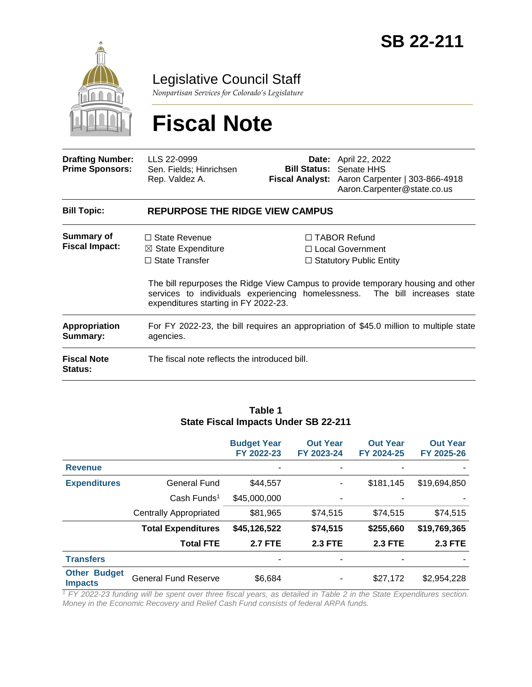

Legislative Council Staff

*Nonpartisan Services for Colorado's Legislature*

# **Fiscal Note**

| <b>Drafting Number:</b><br><b>Prime Sponsors:</b> | LLS 22-0999<br>Sen. Fields; Hinrichsen<br>Rep. Valdez A.                                                                                                                     |  | <b>Date:</b> April 22, 2022<br><b>Bill Status: Senate HHS</b><br>Fiscal Analyst: Aaron Carpenter   303-866-4918<br>Aaron.Carpenter@state.co.us                                                   |  |  |  |
|---------------------------------------------------|------------------------------------------------------------------------------------------------------------------------------------------------------------------------------|--|--------------------------------------------------------------------------------------------------------------------------------------------------------------------------------------------------|--|--|--|
| <b>Bill Topic:</b>                                | <b>REPURPOSE THE RIDGE VIEW CAMPUS</b>                                                                                                                                       |  |                                                                                                                                                                                                  |  |  |  |
| <b>Summary of</b><br><b>Fiscal Impact:</b>        | $\Box$ State Revenue<br>$\boxtimes$ State Expenditure<br>$\Box$ State Transfer<br>services to individuals experiencing homelessness.<br>expenditures starting in FY 2022-23. |  | $\Box$ TABOR Refund<br>$\Box$ Local Government<br>$\Box$ Statutory Public Entity<br>The bill repurposes the Ridge View Campus to provide temporary housing and other<br>The bill increases state |  |  |  |
| <b>Appropriation</b><br>Summary:                  | For FY 2022-23, the bill requires an appropriation of \$45.0 million to multiple state<br>agencies.                                                                          |  |                                                                                                                                                                                                  |  |  |  |
| <b>Fiscal Note</b><br><b>Status:</b>              | The fiscal note reflects the introduced bill.                                                                                                                                |  |                                                                                                                                                                                                  |  |  |  |

#### **Table 1 State Fiscal Impacts Under SB 22-211**

|                                       |                               | <b>Budget Year</b><br>FY 2022-23 | <b>Out Year</b><br>FY 2023-24 | <b>Out Year</b><br>FY 2024-25 | <b>Out Year</b><br>FY 2025-26 |
|---------------------------------------|-------------------------------|----------------------------------|-------------------------------|-------------------------------|-------------------------------|
| <b>Revenue</b>                        |                               |                                  |                               |                               |                               |
| <b>Expenditures</b>                   | <b>General Fund</b>           | \$44,557                         |                               | \$181,145                     | \$19,694,850                  |
|                                       | $Cash$ Funds <sup>1</sup>     | \$45,000,000                     | $\blacksquare$                |                               |                               |
|                                       | <b>Centrally Appropriated</b> | \$81,965                         | \$74,515                      | \$74,515                      | \$74,515                      |
|                                       | <b>Total Expenditures</b>     | \$45,126,522                     | \$74,515                      | \$255,660                     | \$19,769,365                  |
|                                       | <b>Total FTE</b>              | <b>2.7 FTE</b>                   | <b>2.3 FTE</b>                | <b>2.3 FTE</b>                | <b>2.3 FTE</b>                |
| <b>Transfers</b>                      |                               |                                  |                               | ۰                             |                               |
| <b>Other Budget</b><br><b>Impacts</b> | <b>General Fund Reserve</b>   | \$6,684                          |                               | \$27,172                      | \$2,954,228                   |

*<sup>1</sup> FY 2022-23 funding will be spent over three fiscal years, as detailed in Table 2 in the State Expenditures section. Money in the Economic Recovery and Relief Cash Fund consists of federal ARPA funds.*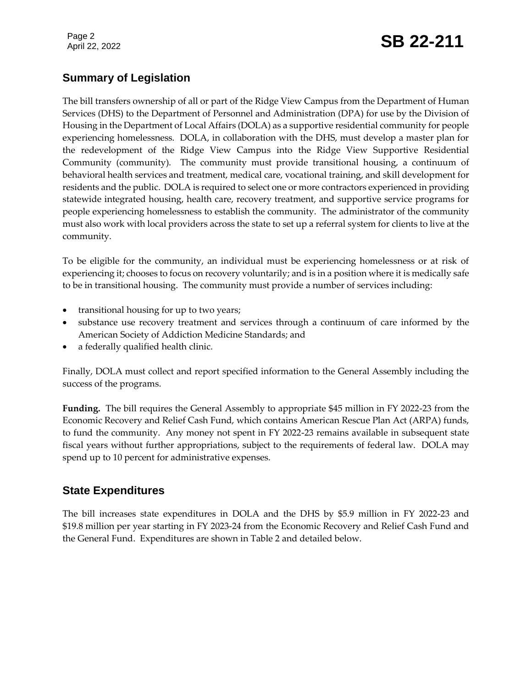## Page 2<br>April 22, 2022 **SB 22-211**

## **Summary of Legislation**

The bill transfers ownership of all or part of the Ridge View Campus from the Department of Human Services (DHS) to the Department of Personnel and Administration (DPA) for use by the Division of Housing in the Department of Local Affairs (DOLA) as a supportive residential community for people experiencing homelessness. DOLA, in collaboration with the DHS, must develop a master plan for the redevelopment of the Ridge View Campus into the Ridge View Supportive Residential Community (community). The community must provide transitional housing, a continuum of behavioral health services and treatment, medical care, vocational training, and skill development for residents and the public. DOLA is required to select one or more contractors experienced in providing statewide integrated housing, health care, recovery treatment, and supportive service programs for people experiencing homelessness to establish the community. The administrator of the community must also work with local providers across the state to set up a referral system for clients to live at the community.

To be eligible for the community, an individual must be experiencing homelessness or at risk of experiencing it; chooses to focus on recovery voluntarily; and is in a position where it is medically safe to be in transitional housing. The community must provide a number of services including:

- transitional housing for up to two years;
- substance use recovery treatment and services through a continuum of care informed by the American Society of Addiction Medicine Standards; and
- a federally qualified health clinic.

Finally, DOLA must collect and report specified information to the General Assembly including the success of the programs.

**Funding.** The bill requires the General Assembly to appropriate \$45 million in FY 2022-23 from the Economic Recovery and Relief Cash Fund, which contains American Rescue Plan Act (ARPA) funds, to fund the community. Any money not spent in FY 2022-23 remains available in subsequent state fiscal years without further appropriations, subject to the requirements of federal law. DOLA may spend up to 10 percent for administrative expenses.

## **State Expenditures**

The bill increases state expenditures in DOLA and the DHS by \$5.9 million in FY 2022-23 and \$19.8 million per year starting in FY 2023-24 from the Economic Recovery and Relief Cash Fund and the General Fund. Expenditures are shown in Table 2 and detailed below.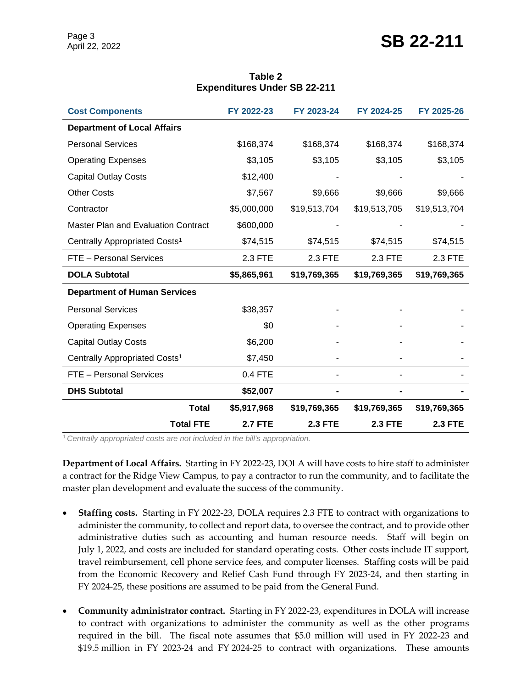| <b>Cost Components</b>                     | FY 2022-23  | FY 2023-24   | FY 2024-25   | FY 2025-26   |
|--------------------------------------------|-------------|--------------|--------------|--------------|
| <b>Department of Local Affairs</b>         |             |              |              |              |
| <b>Personal Services</b>                   | \$168,374   | \$168,374    | \$168,374    | \$168,374    |
| <b>Operating Expenses</b>                  | \$3,105     | \$3,105      | \$3,105      | \$3,105      |
| <b>Capital Outlay Costs</b>                | \$12,400    |              |              |              |
| <b>Other Costs</b>                         | \$7,567     | \$9,666      | \$9,666      | \$9,666      |
| Contractor                                 | \$5,000,000 | \$19,513,704 | \$19,513,705 | \$19,513,704 |
| <b>Master Plan and Evaluation Contract</b> | \$600,000   |              |              |              |
| Centrally Appropriated Costs <sup>1</sup>  | \$74,515    | \$74,515     | \$74,515     | \$74,515     |
| FTE - Personal Services                    | 2.3 FTE     | 2.3 FTE      | 2.3 FTE      | 2.3 FTE      |
|                                            |             |              |              |              |
| <b>DOLA Subtotal</b>                       | \$5,865,961 | \$19,769,365 | \$19,769,365 | \$19,769,365 |
| <b>Department of Human Services</b>        |             |              |              |              |
| <b>Personal Services</b>                   | \$38,357    |              |              |              |
| <b>Operating Expenses</b>                  | \$0         |              |              |              |
| <b>Capital Outlay Costs</b>                | \$6,200     |              |              |              |
| Centrally Appropriated Costs <sup>1</sup>  | \$7,450     |              |              |              |
| FTE - Personal Services                    | 0.4 FTE     |              |              |              |
| <b>DHS Subtotal</b>                        | \$52,007    |              |              |              |
| <b>Total</b>                               | \$5,917,968 | \$19,769,365 | \$19,769,365 | \$19,769,365 |

#### **Table 2 Expenditures Under SB 22-211**

<sup>1</sup>*Centrally appropriated costs are not included in the bill's appropriation.*

**Department of Local Affairs.** Starting in FY 2022-23, DOLA will have costs to hire staff to administer a contract for the Ridge View Campus, to pay a contractor to run the community, and to facilitate the master plan development and evaluate the success of the community.

- **Staffing costs.** Starting in FY 2022-23, DOLA requires 2.3 FTE to contract with organizations to administer the community, to collect and report data, to oversee the contract, and to provide other administrative duties such as accounting and human resource needs. Staff will begin on July 1, 2022, and costs are included for standard operating costs. Other costs include IT support, travel reimbursement, cell phone service fees, and computer licenses. Staffing costs will be paid from the Economic Recovery and Relief Cash Fund through FY 2023-24, and then starting in FY 2024-25, these positions are assumed to be paid from the General Fund.
- **Community administrator contract.** Starting in FY 2022-23, expenditures in DOLA will increase to contract with organizations to administer the community as well as the other programs required in the bill. The fiscal note assumes that \$5.0 million will used in FY 2022-23 and \$19.5 million in FY 2023-24 and FY 2024-25 to contract with organizations. These amounts